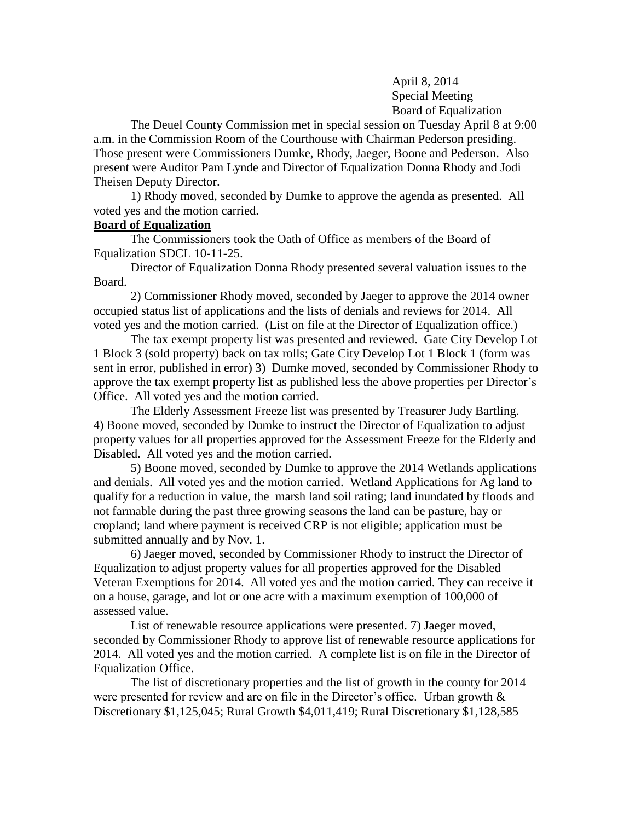April 8, 2014 Special Meeting Board of Equalization

The Deuel County Commission met in special session on Tuesday April 8 at 9:00 a.m. in the Commission Room of the Courthouse with Chairman Pederson presiding. Those present were Commissioners Dumke, Rhody, Jaeger, Boone and Pederson. Also present were Auditor Pam Lynde and Director of Equalization Donna Rhody and Jodi Theisen Deputy Director.

1) Rhody moved, seconded by Dumke to approve the agenda as presented. All voted yes and the motion carried.

## **Board of Equalization**

The Commissioners took the Oath of Office as members of the Board of Equalization SDCL 10-11-25.

Director of Equalization Donna Rhody presented several valuation issues to the Board.

2) Commissioner Rhody moved, seconded by Jaeger to approve the 2014 owner occupied status list of applications and the lists of denials and reviews for 2014. All voted yes and the motion carried. (List on file at the Director of Equalization office.)

The tax exempt property list was presented and reviewed. Gate City Develop Lot 1 Block 3 (sold property) back on tax rolls; Gate City Develop Lot 1 Block 1 (form was sent in error, published in error) 3) Dumke moved, seconded by Commissioner Rhody to approve the tax exempt property list as published less the above properties per Director's Office. All voted yes and the motion carried.

The Elderly Assessment Freeze list was presented by Treasurer Judy Bartling. 4) Boone moved, seconded by Dumke to instruct the Director of Equalization to adjust property values for all properties approved for the Assessment Freeze for the Elderly and Disabled. All voted yes and the motion carried.

5) Boone moved, seconded by Dumke to approve the 2014 Wetlands applications and denials. All voted yes and the motion carried. Wetland Applications for Ag land to qualify for a reduction in value, the marsh land soil rating; land inundated by floods and not farmable during the past three growing seasons the land can be pasture, hay or cropland; land where payment is received CRP is not eligible; application must be submitted annually and by Nov. 1.

6) Jaeger moved, seconded by Commissioner Rhody to instruct the Director of Equalization to adjust property values for all properties approved for the Disabled Veteran Exemptions for 2014. All voted yes and the motion carried. They can receive it on a house, garage, and lot or one acre with a maximum exemption of 100,000 of assessed value.

List of renewable resource applications were presented. 7) Jaeger moved, seconded by Commissioner Rhody to approve list of renewable resource applications for 2014. All voted yes and the motion carried. A complete list is on file in the Director of Equalization Office.

The list of discretionary properties and the list of growth in the county for 2014 were presented for review and are on file in the Director's office. Urban growth  $\&$ Discretionary \$1,125,045; Rural Growth \$4,011,419; Rural Discretionary \$1,128,585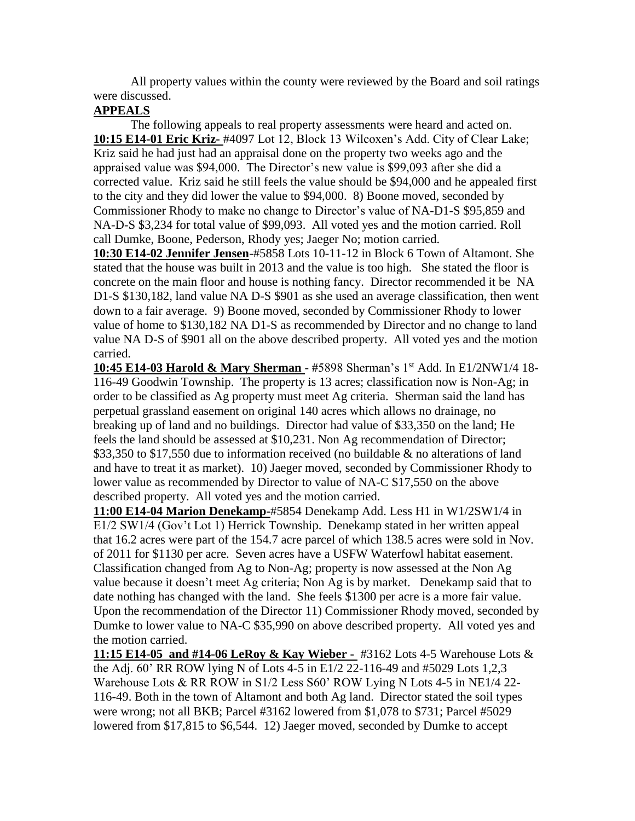All property values within the county were reviewed by the Board and soil ratings were discussed.

## **APPEALS**

The following appeals to real property assessments were heard and acted on. **10:15 E14-01 Eric Kriz-** #4097 Lot 12, Block 13 Wilcoxen's Add. City of Clear Lake; Kriz said he had just had an appraisal done on the property two weeks ago and the appraised value was \$94,000. The Director's new value is \$99,093 after she did a corrected value. Kriz said he still feels the value should be \$94,000 and he appealed first to the city and they did lower the value to \$94,000. 8) Boone moved, seconded by Commissioner Rhody to make no change to Director's value of NA-D1-S \$95,859 and NA-D-S \$3,234 for total value of \$99,093. All voted yes and the motion carried. Roll call Dumke, Boone, Pederson, Rhody yes; Jaeger No; motion carried.

**10:30 E14-02 Jennifer Jensen**-#5858 Lots 10-11-12 in Block 6 Town of Altamont. She stated that the house was built in 2013 and the value is too high. She stated the floor is concrete on the main floor and house is nothing fancy. Director recommended it be NA D1-S \$130,182, land value NA D-S \$901 as she used an average classification, then went down to a fair average. 9) Boone moved, seconded by Commissioner Rhody to lower value of home to \$130,182 NA D1-S as recommended by Director and no change to land value NA D-S of \$901 all on the above described property. All voted yes and the motion carried.

**10:45 E14-03 Harold & Mary Sherman** - #5898 Sherman's 1st Add. In E1/2NW1/4 18- 116-49 Goodwin Township. The property is 13 acres; classification now is Non-Ag; in order to be classified as Ag property must meet Ag criteria. Sherman said the land has perpetual grassland easement on original 140 acres which allows no drainage, no breaking up of land and no buildings. Director had value of \$33,350 on the land; He feels the land should be assessed at \$10,231. Non Ag recommendation of Director; \$33,350 to \$17,550 due to information received (no buildable & no alterations of land and have to treat it as market). 10) Jaeger moved, seconded by Commissioner Rhody to lower value as recommended by Director to value of NA-C \$17,550 on the above described property. All voted yes and the motion carried.

**11:00 E14-04 Marion Denekamp-**#5854 Denekamp Add. Less H1 in W1/2SW1/4 in E1/2 SW1/4 (Gov't Lot 1) Herrick Township. Denekamp stated in her written appeal that 16.2 acres were part of the 154.7 acre parcel of which 138.5 acres were sold in Nov. of 2011 for \$1130 per acre. Seven acres have a USFW Waterfowl habitat easement. Classification changed from Ag to Non-Ag; property is now assessed at the Non Ag value because it doesn't meet Ag criteria; Non Ag is by market. Denekamp said that to date nothing has changed with the land. She feels \$1300 per acre is a more fair value. Upon the recommendation of the Director 11) Commissioner Rhody moved, seconded by Dumke to lower value to NA-C \$35,990 on above described property. All voted yes and the motion carried.

**11:15 E14-05 and #14-06 LeRoy & Kay Wieber -** #3162 Lots 4-5 Warehouse Lots & the Adj. 60' RR ROW lying N of Lots 4-5 in E1/2 22-116-49 and #5029 Lots 1,2,3 Warehouse Lots & RR ROW in S1/2 Less S60' ROW Lying N Lots 4-5 in NE1/4 22- 116-49. Both in the town of Altamont and both Ag land. Director stated the soil types were wrong; not all BKB; Parcel #3162 lowered from \$1,078 to \$731; Parcel #5029 lowered from \$17,815 to \$6,544. 12) Jaeger moved, seconded by Dumke to accept